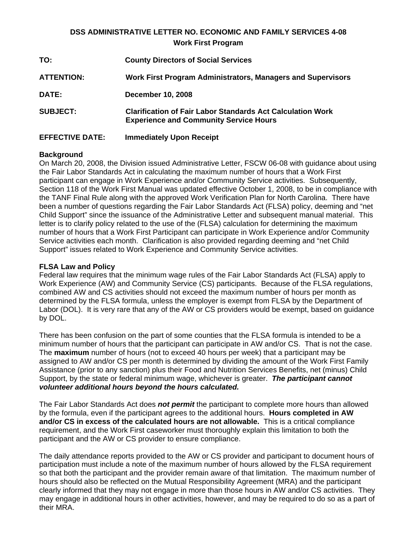# **DSS ADMINISTRATIVE LETTER NO. ECONOMIC AND FAMILY SERVICES 4-08 Work First Program**

| TO:                    | <b>County Directors of Social Services</b>                                                                         |
|------------------------|--------------------------------------------------------------------------------------------------------------------|
| <b>ATTENTION:</b>      | Work First Program Administrators, Managers and Supervisors                                                        |
| DATE:                  | <b>December 10, 2008</b>                                                                                           |
| <b>SUBJECT:</b>        | <b>Clarification of Fair Labor Standards Act Calculation Work</b><br><b>Experience and Community Service Hours</b> |
| <b>EFFECTIVE DATE:</b> | <b>Immediately Upon Receipt</b>                                                                                    |

### **Background**

On March 20, 2008, the Division issued Administrative Letter, FSCW 06-08 with guidance about using the Fair Labor Standards Act in calculating the maximum number of hours that a Work First participant can engage in Work Experience and/or Community Service activities. Subsequently, Section 118 of the Work First Manual was updated effective October 1, 2008, to be in compliance with the TANF Final Rule along with the approved Work Verification Plan for North Carolina. There have been a number of questions regarding the Fair Labor Standards Act (FLSA) policy, deeming and "net Child Support" since the issuance of the Administrative Letter and subsequent manual material. This letter is to clarify policy related to the use of the (FLSA) calculation for determining the maximum number of hours that a Work First Participant can participate in Work Experience and/or Community Service activities each month. Clarification is also provided regarding deeming and "net Child Support" issues related to Work Experience and Community Service activities.

## **FLSA Law and Policy**

Federal law requires that the minimum wage rules of the Fair Labor Standards Act (FLSA) apply to Work Experience (AW) and Community Service (CS) participants. Because of the FLSA regulations, combined AW and CS activities should not exceed the maximum number of hours per month as determined by the FLSA formula, unless the employer is exempt from FLSA by the Department of Labor (DOL). It is very rare that any of the AW or CS providers would be exempt, based on guidance by DOL.

There has been confusion on the part of some counties that the FLSA formula is intended to be a minimum number of hours that the participant can participate in AW and/or CS. That is not the case. The **maximum** number of hours (not to exceed 40 hours per week) that a participant may be assigned to AW and/or CS per month is determined by dividing the amount of the Work First Family Assistance (prior to any sanction) plus their Food and Nutrition Services Benefits, net (minus) Child Support, by the state or federal minimum wage, whichever is greater. *The participant cannot volunteer additional hours beyond the hours calculated.*

The Fair Labor Standards Act does *not permit* the participant to complete more hours than allowed by the formula, even if the participant agrees to the additional hours. **Hours completed in AW and/or CS in excess of the calculated hours are not allowable.** This is a critical compliance requirement, and the Work First caseworker must thoroughly explain this limitation to both the participant and the AW or CS provider to ensure compliance.

The daily attendance reports provided to the AW or CS provider and participant to document hours of participation must include a note of the maximum number of hours allowed by the FLSA requirement so that both the participant and the provider remain aware of that limitation. The maximum number of hours should also be reflected on the Mutual Responsibility Agreement (MRA) and the participant clearly informed that they may not engage in more than those hours in AW and/or CS activities. They may engage in additional hours in other activities, however, and may be required to do so as a part of their MRA.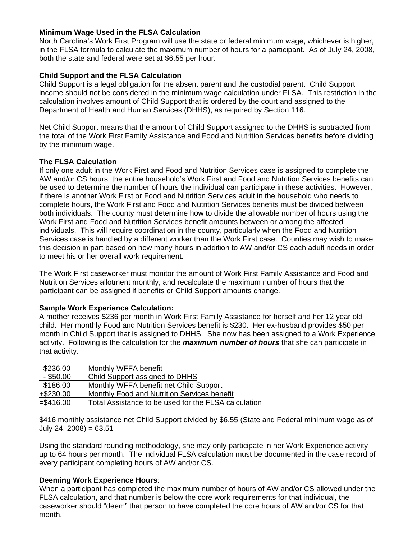### **Minimum Wage Used in the FLSA Calculation**

North Carolina's Work First Program will use the state or federal minimum wage, whichever is higher, in the FLSA formula to calculate the maximum number of hours for a participant. As of July 24, 2008, both the state and federal were set at \$6.55 per hour.

### **Child Support and the FLSA Calculation**

Child Support is a legal obligation for the absent parent and the custodial parent. Child Support income should not be considered in the minimum wage calculation under FLSA. This restriction in the calculation involves amount of Child Support that is ordered by the court and assigned to the Department of Health and Human Services (DHHS), as required by Section 116.

Net Child Support means that the amount of Child Support assigned to the DHHS is subtracted from the total of the Work First Family Assistance and Food and Nutrition Services benefits before dividing by the minimum wage.

#### **The FLSA Calculation**

If only one adult in the Work First and Food and Nutrition Services case is assigned to complete the AW and/or CS hours, the entire household's Work First and Food and Nutrition Services benefits can be used to determine the number of hours the individual can participate in these activities. However, if there is another Work First or Food and Nutrition Services adult in the household who needs to complete hours, the Work First and Food and Nutrition Services benefits must be divided between both individuals. The county must determine how to divide the allowable number of hours using the Work First and Food and Nutrition Services benefit amounts between or among the affected individuals. This will require coordination in the county, particularly when the Food and Nutrition Services case is handled by a different worker than the Work First case. Counties may wish to make this decision in part based on how many hours in addition to AW and/or CS each adult needs in order to meet his or her overall work requirement.

The Work First caseworker must monitor the amount of Work First Family Assistance and Food and Nutrition Services allotment monthly, and recalculate the maximum number of hours that the participant can be assigned if benefits or Child Support amounts change.

#### **Sample Work Experience Calculation:**

A mother receives \$236 per month in Work First Family Assistance for herself and her 12 year old child. Her monthly Food and Nutrition Services benefit is \$230. Her ex-husband provides \$50 per month in Child Support that is assigned to DHHS. She now has been assigned to a Work Experience activity. Following is the calculation for the *maximum number of hours* that she can participate in that activity.

| \$236.00    | Monthly WFFA benefit                                 |
|-------------|------------------------------------------------------|
| $-$ \$50.00 | Child Support assigned to DHHS                       |
| \$186.00    | Monthly WFFA benefit net Child Support               |
| +\$230.00   | Monthly Food and Nutrition Services benefit          |
| $= $416.00$ | Total Assistance to be used for the FLSA calculation |
|             |                                                      |

\$416 monthly assistance net Child Support divided by \$6.55 (State and Federal minimum wage as of July 24, 2008) = 63.51

Using the standard rounding methodology, she may only participate in her Work Experience activity up to 64 hours per month. The individual FLSA calculation must be documented in the case record of every participant completing hours of AW and/or CS.

#### **Deeming Work Experience Hours**:

When a participant has completed the maximum number of hours of AW and/or CS allowed under the FLSA calculation, and that number is below the core work requirements for that individual, the caseworker should "deem" that person to have completed the core hours of AW and/or CS for that month.